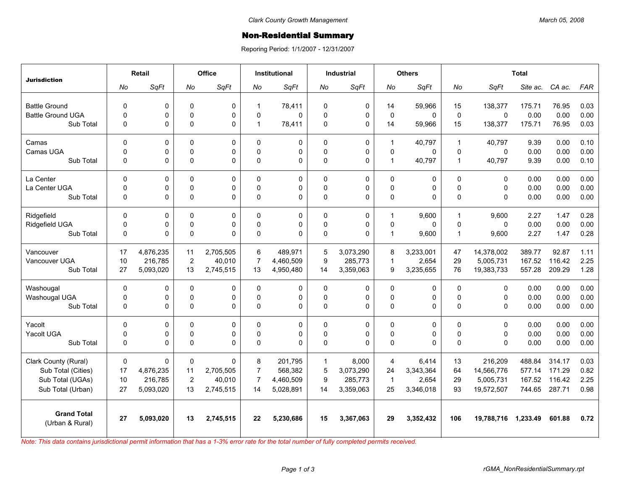## Non-Residential Summary

Reporing Period: 1/1/2007 - 12/31/2007

| <b>Jurisdiction</b>                   | <b>Retail</b> |             | Office         |             | <b>Institutional</b> |           | <b>Industrial</b> |             | <b>Others</b> |             | <b>Total</b>   |             |          |        |            |
|---------------------------------------|---------------|-------------|----------------|-------------|----------------------|-----------|-------------------|-------------|---------------|-------------|----------------|-------------|----------|--------|------------|
|                                       | No            | SqFt        | No             | SqFt        | No                   | SqFt      | No                | SqFt        | No            | SqFt        | No             | SqFt        | Site ac. | CA ac. | <b>FAR</b> |
| <b>Battle Ground</b>                  | $\mathbf 0$   | 0           | 0              | 0           | $\mathbf 1$          | 78,411    | $\mathbf 0$       | 0           | 14            | 59,966      | 15             | 138,377     | 175.71   | 76.95  | 0.03       |
| <b>Battle Ground UGA</b>              | $\mathbf 0$   | 0           | $\mathbf 0$    | 0           | $\Omega$             | $\Omega$  | $\Omega$          | $\mathbf 0$ | $\Omega$      | $\Omega$    | $\mathbf 0$    | 0           | 0.00     | 0.00   | 0.00       |
| Sub Total                             | 0             | 0           | $\mathbf 0$    | 0           | 1                    | 78,411    | $\mathbf 0$       | 0           | 14            | 59,966      | 15             | 138,377     | 175.71   | 76.95  | 0.03       |
|                                       |               |             |                |             |                      |           |                   |             |               |             |                |             |          |        |            |
| Camas                                 | 0             | 0           | $\mathbf{0}$   | $\Omega$    | $\Omega$             | 0         | $\mathbf{0}$      | 0           | $\mathbf{1}$  | 40,797      | $\overline{1}$ | 40.797      | 9.39     | 0.00   | 0.10       |
| Camas UGA                             | $\mathbf 0$   | 0           | $\mathbf 0$    | 0           | $\Omega$             | 0         | $\mathbf{0}$      | 0           | $\mathbf{0}$  | 0           | $\Omega$       | $\Omega$    | 0.00     | 0.00   | 0.00       |
| Sub Total                             | $\Omega$      | $\Omega$    | $\Omega$       | 0           | $\Omega$             | $\Omega$  | $\mathbf{0}$      | $\Omega$    | $\mathbf{1}$  | 40,797      | $\mathbf{1}$   | 40,797      | 9.39     | 0.00   | 0.10       |
| La Center                             | 0             | 0           | $\mathbf 0$    | 0           | $\Omega$             | 0         | $\Omega$          | 0           | $\Omega$      | 0           | $\Omega$       | $\Omega$    | 0.00     | 0.00   | 0.00       |
| La Center UGA                         | 0             | 0           | $\mathbf 0$    | 0           | $\Omega$             | 0         | $\mathbf 0$       | 0           | $\pmb{0}$     | 0           | $\Omega$       | $\mathbf 0$ | 0.00     | 0.00   | 0.00       |
| Sub Total                             | $\mathbf 0$   | 0           | $\mathbf 0$    | $\mathbf 0$ | $\Omega$             | 0         | $\mathbf{0}$      | $\mathbf 0$ | $\pmb{0}$     | 0           | $\Omega$       | $\Omega$    | 0.00     | 0.00   | 0.00       |
| Ridgefield                            | 0             | 0           | $\pmb{0}$      | 0           | $\Omega$             | 0         | $\mathbf 0$       | 0           | 1             | 9,600       | $\overline{1}$ | 9,600       | 2.27     | 1.47   | 0.28       |
| Ridgefield UGA                        | 0             | 0           | $\mathbf 0$    | 0           | 0                    | 0         | $\mathbf 0$       | 0           | $\pmb{0}$     | $\mathbf 0$ | $\mathbf 0$    | 0           | 0.00     | 0.00   | 0.00       |
| Sub Total                             | $\mathbf 0$   | 0           | $\mathbf 0$    | 0           | $\Omega$             | 0         | $\Omega$          | $\mathbf 0$ | $\mathbf{1}$  | 9,600       | $\overline{1}$ | 9,600       | 2.27     | 1.47   | 0.28       |
|                                       |               |             |                |             |                      |           |                   |             |               |             |                |             |          |        |            |
| Vancouver                             | 17            | 4,876,235   | 11             | 2.705.505   | 6                    | 489.971   | 5                 | 3,073,290   | 8             | 3.233.001   | 47             | 14.378.002  | 389.77   | 92.87  | 1.11       |
| Vancouver UGA                         | 10            | 216,785     | $\overline{2}$ | 40,010      | $\overline{7}$       | 4,460,509 | 9                 | 285,773     | 1             | 2,654       | 29             | 5,005,731   | 167.52   | 116.42 | 2.25       |
| Sub Total                             | 27            | 5,093,020   | 13             | 2,745,515   | 13                   | 4,950,480 | 14                | 3,359,063   | 9             | 3,235,655   | 76             | 19,383,733  | 557.28   | 209.29 | 1.28       |
| Washougal                             | 0             | 0           | 0              | 0           | $\Omega$             | 0         | $\mathbf 0$       | 0           | 0             | 0           | 0              | 0           | 0.00     | 0.00   | 0.00       |
| Washougal UGA                         | $\mathbf 0$   | $\mathbf 0$ | $\mathbf 0$    | 0           | $\Omega$             | 0         | $\Omega$          | 0           | $\mathbf 0$   | 0           | $\Omega$       | $\Omega$    | 0.00     | 0.00   | 0.00       |
| Sub Total                             | $\Omega$      | 0           | $\mathbf 0$    | 0           | $\Omega$             | $\Omega$  | $\mathbf 0$       | 0           | $\mathbf 0$   | 0           | $\Omega$       | $\Omega$    | 0.00     | 0.00   | 0.00       |
| Yacolt                                | 0             | 0           | $\mathbf 0$    | 0           | $\Omega$             | 0         | $\mathbf 0$       | 0           | $\mathbf 0$   | 0           | $\Omega$       | $\Omega$    | 0.00     | 0.00   | 0.00       |
| Yacolt UGA                            | 0             | 0           | $\mathbf 0$    | 0           | $\Omega$             | 0         | $\mathbf 0$       | 0           | $\pmb{0}$     | 0           | $\pmb{0}$      | $\mathbf 0$ | 0.00     | 0.00   | 0.00       |
| Sub Total                             | $\mathbf 0$   | 0           | $\mathbf 0$    | $\Omega$    | $\Omega$             | 0         | $\Omega$          | 0           | $\Omega$      | 0           | $\Omega$       | $\Omega$    | 0.00     | 0.00   | 0.00       |
| Clark County (Rural)                  | $\mathbf 0$   | 0           | 0              | 0           | 8                    | 201,795   | $\mathbf{1}$      | 8,000       | 4             | 6,414       | 13             | 216.209     | 488.84   | 314.17 | 0.03       |
| Sub Total (Cities)                    | 17            | 4,876,235   | 11             | 2,705,505   | $\overline{7}$       | 568,382   | 5                 | 3,073,290   | 24            | 3,343,364   | 64             | 14,566,776  | 577.14   | 171.29 | 0.82       |
| Sub Total (UGAs)                      | 10            | 216,785     | $\overline{2}$ | 40.010      | $\overline{7}$       | 4,460,509 | 9                 | 285,773     | $\mathbf 1$   | 2,654       | 29             | 5,005,731   | 167.52   | 116.42 | 2.25       |
| Sub Total (Urban)                     | 27            | 5,093,020   | 13             | 2,745,515   | 14                   | 5,028,891 | 14                | 3,359,063   | 25            | 3,346,018   | 93             | 19,572,507  | 744.65   | 287.71 | 0.98       |
|                                       |               |             |                |             |                      |           |                   |             |               |             |                |             |          |        |            |
| <b>Grand Total</b><br>(Urban & Rural) | 27            | 5,093,020   | 13             | 2,745,515   | 22                   | 5,230,686 | 15                | 3,367,063   | 29            | 3,352,432   | 106            | 19,788,716  | 1,233.49 | 601.88 | 0.72       |

*Note: This data contains jurisdictional permit information that has a 1-3% error rate for the total number of fully completed permits received.*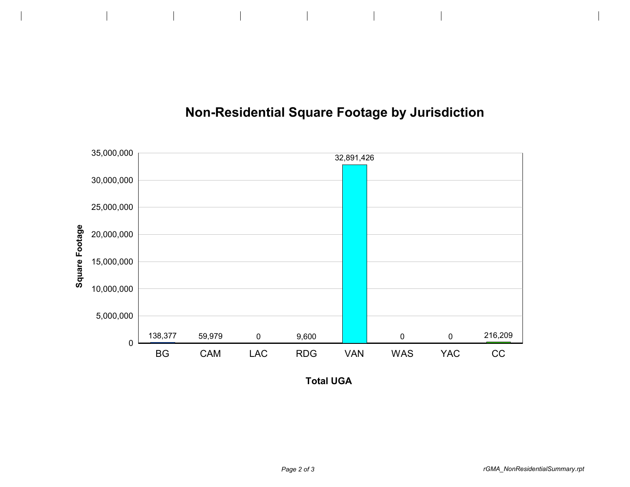

## **Non-Residential Square Footage by Jurisdiction**

**Total UGA**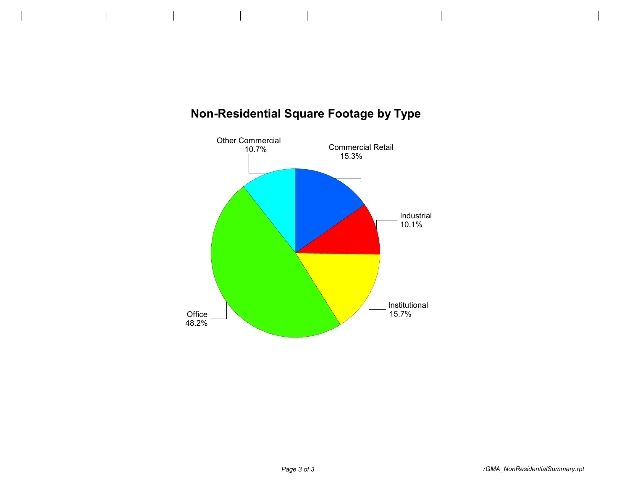

## **Non-Residential Square Footage by Type**